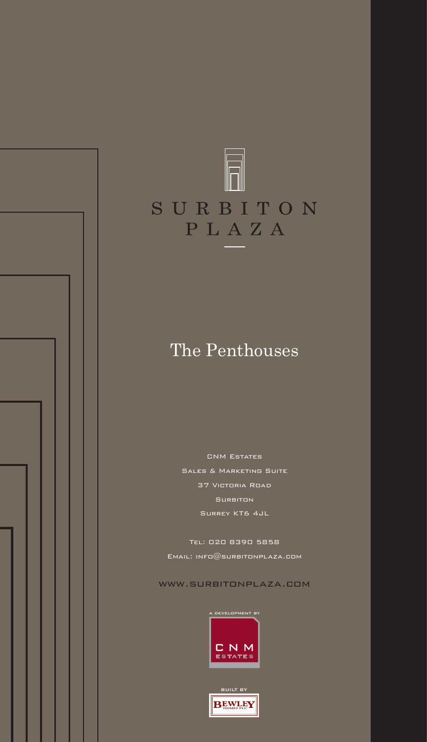

### The Penthouses

CNM Estates Sales & Marketing Suite 37 Victoria Road Surbiton Surrey KT6 4JL

Tel: 020 8390 5858 Email: info@surbitonplaza.com

www.surbitonplaza.com



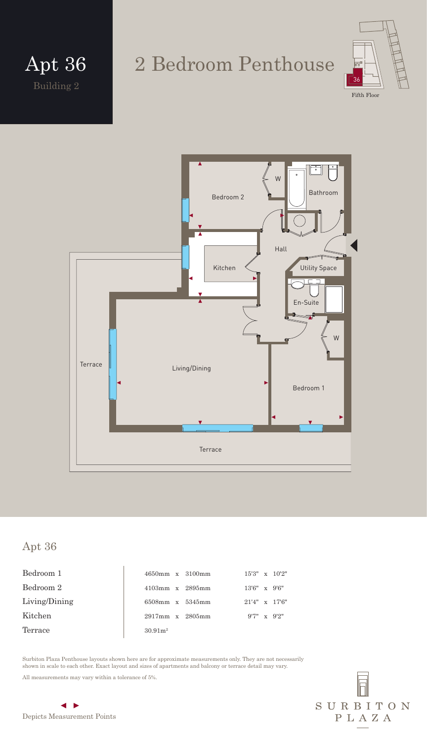



#### Apt 36

Bedroom 1 15'3" x 10'2" 1650mm x 3100mm 15'3" x 10'2" Bedroom 2 4103mm x 2895mm 13'6" x 9'6" Living/Dining 6508mm x 5345mm 21'4" x 17'6" Kitchen 2917mm x 2805mm 9'7" x 9'2" Terrace  $30.91m^2$ 

Surbiton Plaza Penthouse layouts shown here are for approximate measurements only. They are not necessarily shown in scale to each other. Exact layout and sizes of apartments and balcony or terrace detail may vary.

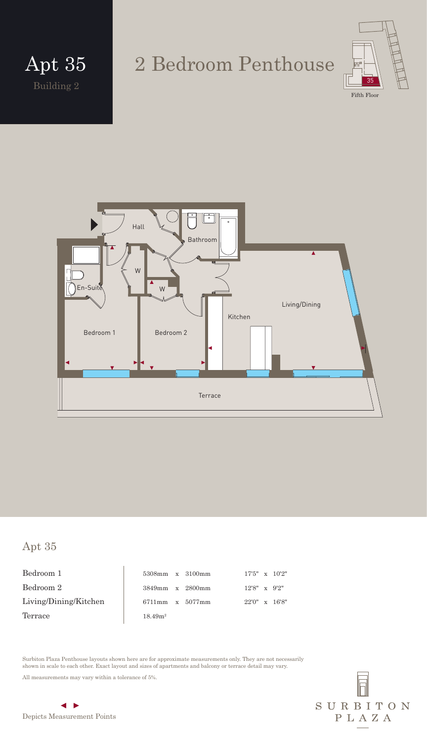

Fifth Floor



#### Apt 35

Bedroom 1 Bedroom  $2$ Living/Dining/Kitchen Terrace  $\vert$ 

|                    | 5308mm x 3100mm | $17'5'' \times 10'2''$ |  |
|--------------------|-----------------|------------------------|--|
|                    | 3849mm x 2800mm | $12'8'' \times 9'2''$  |  |
|                    | 6711mm x 5077mm | $22'0'' \times 16'8''$ |  |
| 18.49 <sup>2</sup> |                 |                        |  |

Surbiton Plaza Penthouse layouts shown here are for approximate measurements only. They are not necessarily shown in scale to each other. Exact layout and sizes of apartments and balcony or terrace detail may vary.

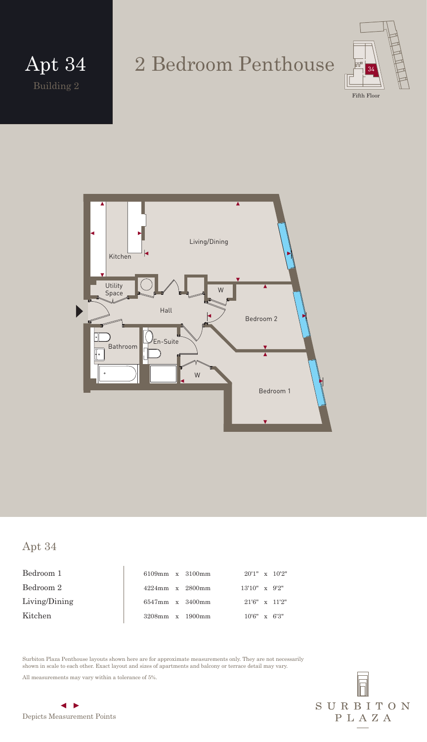

SURBITON

PLAZA

Living/Dining Kitchen Hall Bedroom 1 W W Bathroom En-Suite Utility Space Bedroom 2

#### Apt 34

Bedroom 1 6109mm x 3100mm 20'1" x 10'2" Bedroom 2 4224mm x 2800mm 13'10" x 9'2" Living/Dining 6547mm x 3400mm 21'6" x 11'2" Kitchen 3208mm x 1900mm 10'6" x 6'3"

Surbiton Plaza Penthouse layouts shown here are for approximate measurements only. They are not necessarily shown in scale to each other. Exact layout and sizes of apartments and balcony or terrace detail may vary.

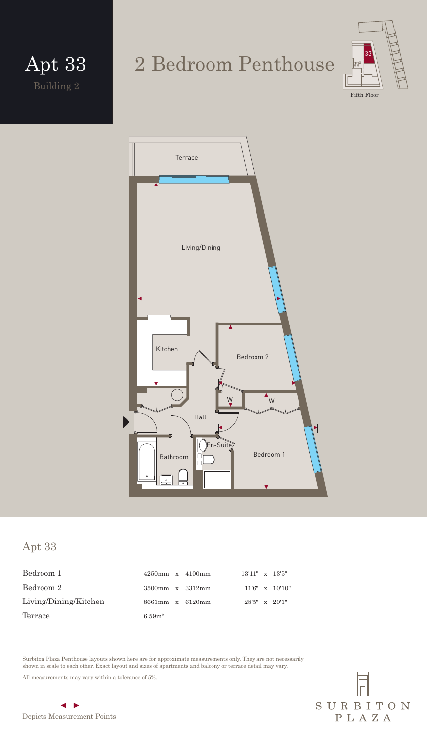



Fifth Floo



#### Apt 33

Bedroom 1 Bedroom  $2$ Living/Dining/Kitchen Terrace

| $4250$ mm x $4100$ mm |  | $13'11''$ x $13'5''$ |                         |
|-----------------------|--|----------------------|-------------------------|
| 3500mm x 3312mm       |  |                      | $11'6'' \times 10'10''$ |
| 8661mm x 6120mm       |  | $28'5''$ x $20'1''$  |                         |
| 6.59 $m2$             |  |                      |                         |

Surbiton Plaza Penthouse layouts shown here are for approximate measurements only. They are not necessarily shown in scale to each other. Exact layout and sizes of apartments and balcony or terrace detail may vary.

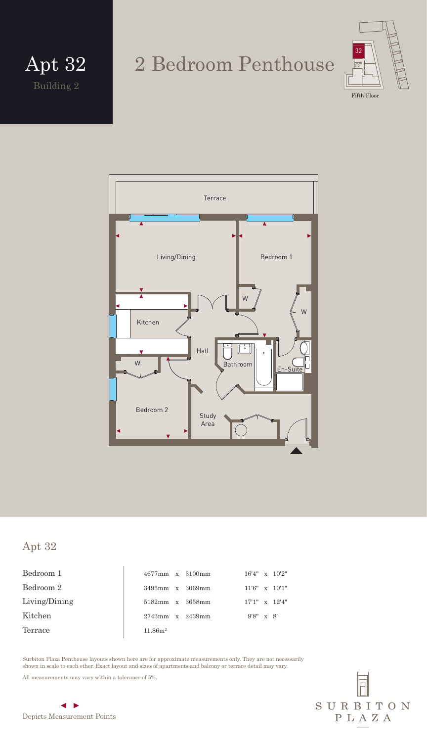

Terrace Living/Dining Bedroom 1 W W Kitchen  $\frac{1}{\circ}$ Hall W Bathroom <u>En-Suite</u> Bedroom 2 Study Area

#### Apt 32

Bedroom 1 16'4" x 10'2" 16'4" x 10'2" Bedroom 2 3495mm x 3069mm 11'6" x 10'1" Living/Dining 5182mm x 3658mm 17'1" x 12'4" Kitchen 2743mm x 2439mm 9'8" x 8' Terrace  $11.86m^2$ 

Surbiton Plaza Penthouse layouts shown here are for approximate measurements only. They are not necessarily shown in scale to each other. Exact layout and sizes of apartments and balcony or terrace detail may vary.

All measurements may vary within a tolerance of 5%.



 $\blacktriangleleft$   $\blacktriangleright$ Depicts Measurement Points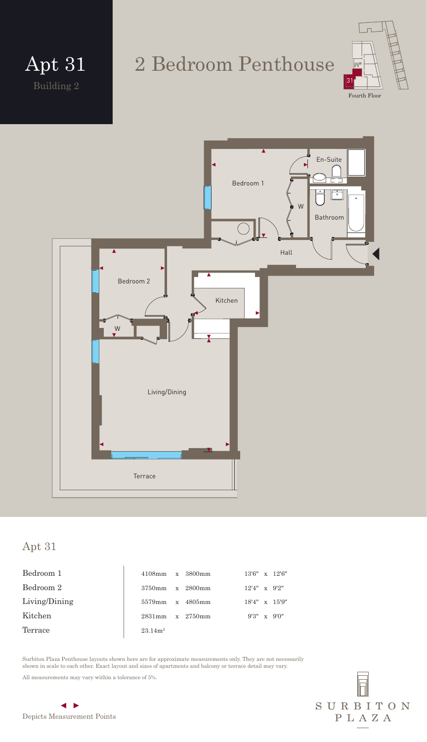

Fourth Floor



#### Apt 31

| Bedroom 1     | 4108mm x 3800mm     |   |           |                       | $13'6'' \times 12'6''$ |
|---------------|---------------------|---|-----------|-----------------------|------------------------|
| Bedroom 2     | 3750mm              |   | x 2800mm  | $12'4'' \times 9'2''$ |                        |
| Living/Dining | 5579mm              | X | $4805$ mm |                       | $18'4'' \times 15'9''$ |
| Kitchen       | 2831 mm             |   | x 2750mm  |                       | $9'3'' \times 9'0''$   |
| Terrace       | 23.14m <sup>2</sup> |   |           |                       |                        |

Surbiton Plaza Penthouse layouts shown here are for approximate measurements only. They are not necessarily shown in scale to each other. Exact layout and sizes of apartments and balcony or terrace detail may vary.

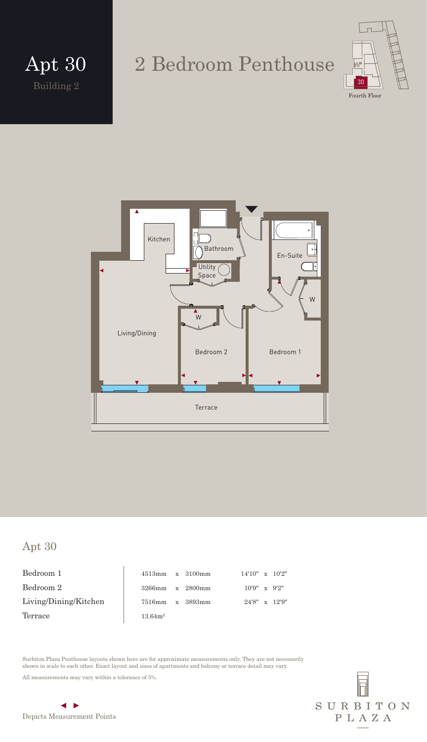

Living/Dining Kitchen Bedroom 2 Terrace  $\bar{W}$ W En-Suite Bathroom Bedroom 1 **Utility** Space

#### Apt 30

Bedroom 1 Bedroom  $2$ Living/Dining/Kitchen Terrace

| $4513$ mm x 3100mm  |  | $14'10'' \times 10'2''$ |  |
|---------------------|--|-------------------------|--|
| 3266mm x 2800mm     |  | $10'9''$ x $9'2''$      |  |
| 7516mm x 3893mm     |  | $24'8'' \times 12'9''$  |  |
| 13.64m <sup>2</sup> |  |                         |  |

Surbiton Plaza Penthouse layouts shown here are for approximate measurements only. They are not necessarily shown in scale to each other. Exact layout and sizes of apartments and balcony or terrace detail may vary.

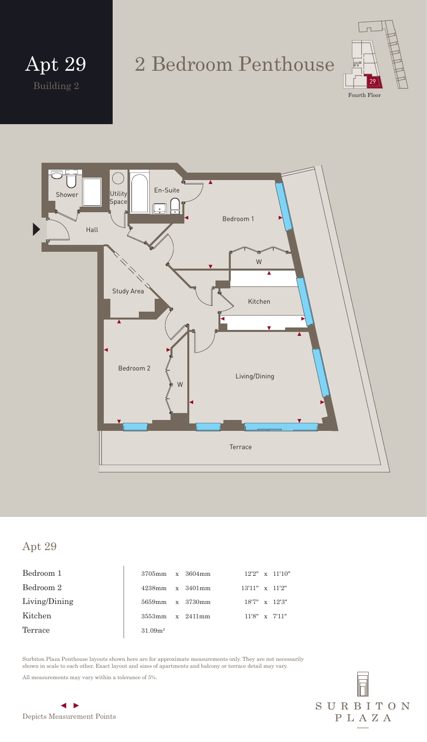



Shower Utility | En-Suite Utility Space  $\frac{1}{2}$ Bedroom 1 Hall W Study Area Kitchen Bedroom 2 Living/Dining W Terrace

#### Apt 29

Bedroom 1 3705mm x 3604mm 12'2" x 11'10" Bedroom 2 4238mm x 3401mm 13'11" x 11'2" Living/Dining 5659mm x 3730mm 18'7" x 12'3" Kitchen 11'8" x 7'11" Terrace 31.09m<sup>2</sup>

Surbiton Plaza Penthouse layouts shown here are for approximate measurements only. They are not necessarily shown in scale to each other. Exact layout and sizes of apartments and balcony or terrace detail may vary.

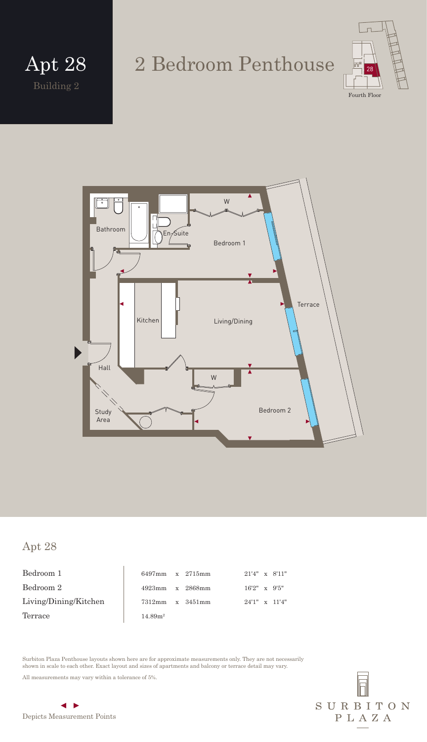

W  $B$ athroom  $\left\| \begin{array}{c} \hline \ \hline \end{array} \right\|$   $\left\| \begin{array}{c} \hline \ \hline \ \hline \end{array} \right\|$   $\left\| \begin{array}{c} \hline \ \hline \ \hline \end{array} \right\|$ Bedroom 1 **Terrace** Kitchen Living/Dining Hall W 17 Bedroom 2 Study Area

#### Apt 28

Bedroom 1 6497mm x 2715mm 21'4" x 8'11" Bedroom 2 4923mm x 2868mm 16'2" x 9'5" Living/Dining/Kitchen 7312mm x 3451mm 24'1" x 11'4"  $Termace$  14.89m<sup>2</sup>

Surbiton Plaza Penthouse layouts shown here are for approximate measurements only. They are not necessarily shown in scale to each other. Exact layout and sizes of apartments and balcony or terrace detail may vary.

All measurements may vary within a tolerance of 5%.



# SURBITON PLAZA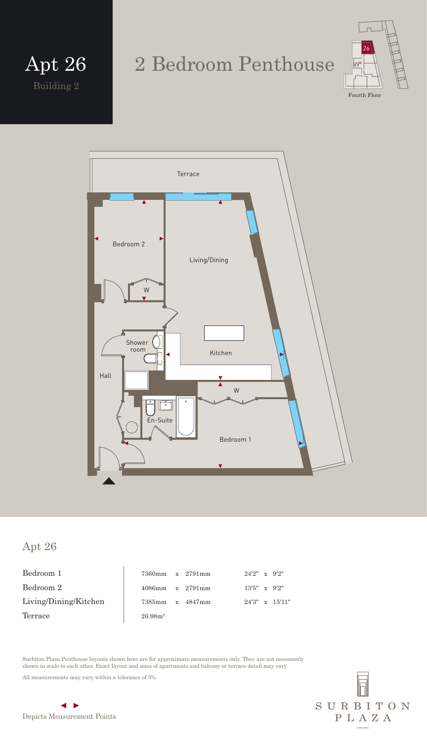Building 2 Apt 26

### 2 Bedroom Penthouse



Living/Dining Kitchen Bedroom 2 Bedroom 1 Shower room En-Suite W W Terrace Hall

#### Apt 26

Bedroom 1 Bedroom  $2$ Living/Dining/Kitchen Terrace

| 7360mm x 2791mm    |  | $24'2'' \times 9'2''$ |                         |
|--------------------|--|-----------------------|-------------------------|
| 4086mm x 2791mm    |  | $13'5'' \times 9'2''$ |                         |
| 7385mm x 4847mm    |  |                       | $24'3'' \times 15'11''$ |
| 26.98 <sup>2</sup> |  |                       |                         |

Surbiton Plaza Penthouse layouts shown here are for approximate measurements only. They are not necessarily shown in scale to each other. Exact layout and sizes of apartments and balcony or terrace detail may vary.